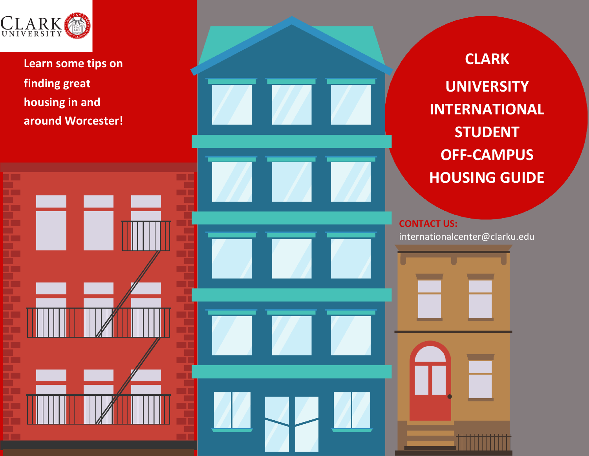

**Learn some tips on finding great housing in and around Worcester!**

**CLARK UNIVERSITY INTERNATIONAL STUDENT OFF -CAMPUS HOUSING GUIDE**

 **CONTACT US:** internationalcenter@clarku.edu

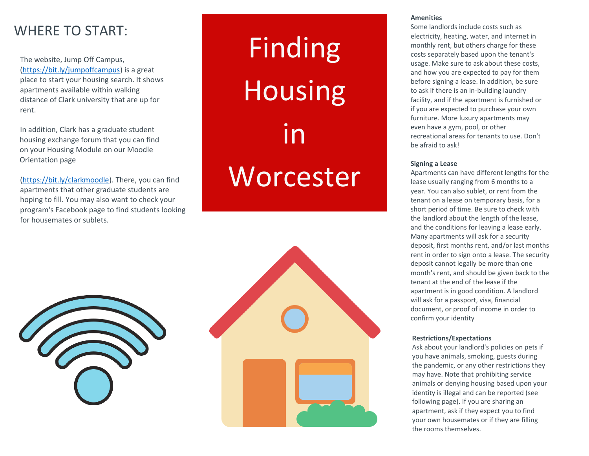# WHERE TO START:

The website, Jump Off Campus, [\(https://bit.ly/jumpoffcampus\)](https://bit.ly/jumpoffcampus) is a great place to start your housing search. It shows apartments available within walking distance of Clark university that are up for rent.

In addition, Clark has a graduate student housing exchange forum that you can find on your Housing Module on our Moodle Orientation page

[\(https://bit.ly/clarkmoodle\)](https://bit.ly/clarkmoodle). There, you can find apartments that other graduate students are hoping to fill. You may also want to check your program's Facebook page to find students looking for housemates or sublets.

# Finding Housing in **Worcester**





#### **Amenities**

Some landlords include costs such as electricity, heating, water, and internet in monthly rent, but others charge for these costs separately based upon the tenant's usage. Make sure to ask about these costs, and how you are expected to pay for them before signing a lease. In addition, be sure to ask if there is an in-building laundry facility, and if the apartment is furnished or if you are expected to purchase your own furniture. More luxury apartments may even have a gym, pool, or other recreational areas for tenants to use. Don't be afraid to ask!

#### **Signing a Lease**

Apartments can have different lengths for the lease usually ranging from 6 months to a year. You can also sublet, or rent from the tenant on a lease on temporary basis, for a short period of time. Be sure to check with the landlord about the length of the lease, and the conditions for leaving a lease early. Many apartments will ask for a security deposit, first months rent, and/or last months rent in order to sign onto a lease. The security deposit cannot legally be more than one month's rent, and should be given back to the tenant at the end of the lease if the apartment is in good condition. A landlord will ask for a passport, visa, financial document, or proof of income in order to confirm your identity

## **Restrictions/Expectations**

Ask about your landlord's policies on pets if you have animals, smoking, guests during the pandemic, or any other restrictions they may have. Note that prohibiting service animals or denying housing based upon your identity is illegal and can be reported (see following page). If you are sharing an apartment, ask if they expect you to find your own housemates or if they are filling the rooms themselves.